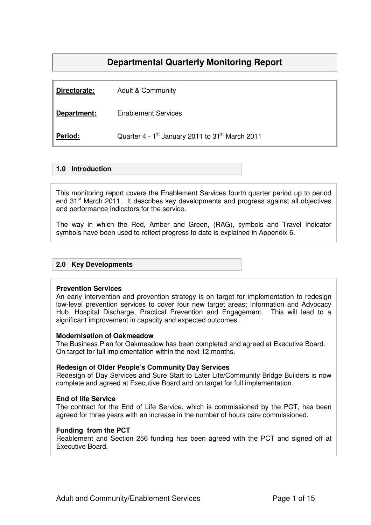# **Departmental Quarterly Monitoring Report**

| Directorate: | <b>Adult &amp; Community</b>                                            |
|--------------|-------------------------------------------------------------------------|
| Department:  | <b>Enablement Services</b>                                              |
| Period:      | Quarter 4 - 1 <sup>st</sup> January 2011 to 31 <sup>st</sup> March 2011 |

## **1.0 Introduction**

This monitoring report covers the Enablement Services fourth quarter period up to period end 31<sup>st</sup> March 2011. It describes key developments and progress against all objectives and performance indicators for the service.

The way in which the Red, Amber and Green, (RAG), symbols and Travel Indicator symbols have been used to reflect progress to date is explained in Appendix 6.

## **2.0 Key Developments**

#### **Prevention Services**

An early intervention and prevention strategy is on target for implementation to redesign low-level prevention services to cover four new target areas; Information and Advocacy Hub, Hospital Discharge, Practical Prevention and Engagement. This will lead to a significant improvement in capacity and expected outcomes.

#### **Modernisation of Oakmeadow**

The Business Plan for Oakmeadow has been completed and agreed at Executive Board. On target for full implementation within the next 12 months.

#### **Redesign of Older People's Community Day Services**

Redesign of Day Services and Sure Start to Later Life/Community Bridge Builders is now complete and agreed at Executive Board and on target for full implementation.

#### **End of life Service**

The contract for the End of Life Service, which is commissioned by the PCT, has been agreed for three years with an increase in the number of hours care commissioned.

#### **Funding from the PCT**

Reablement and Section 256 funding has been agreed with the PCT and signed off at Executive Board.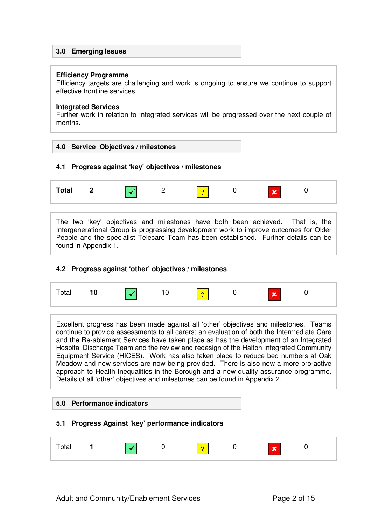## **3.0 Emerging Issues**

#### **Efficiency Programme**

Efficiency targets are challenging and work is ongoing to ensure we continue to support effective frontline services.

#### **Integrated Services**

Further work in relation to Integrated services will be progressed over the next couple of months.



## **4.1 Progress against 'key' objectives / milestones**



The two 'key' objectives and milestones have both been achieved. That is, the Intergenerational Group is progressing development work to improve outcomes for Older People and the specialist Telecare Team has been established. Further details can be found in Appendix 1.

## **4.2 Progress against 'other' objectives / milestones**

| $\overline{\mathbf{x}}$<br>$10$ $\sqrt{ }$<br>10<br><b><i><u>Part</u></i></b><br>Total |  |
|----------------------------------------------------------------------------------------|--|
|----------------------------------------------------------------------------------------|--|

Excellent progress has been made against all 'other' objectives and milestones. Teams continue to provide assessments to all carers; an evaluation of both the Intermediate Care and the Re-ablement Services have taken place as has the development of an Integrated Hospital Discharge Team and the review and redesign of the Halton Integrated Community Equipment Service (HICES). Work has also taken place to reduce bed numbers at Oak Meadow and new services are now being provided. There is also now a more pro-active approach to Health Inequalities in the Borough and a new quality assurance programme. Details of all 'other' objectives and milestones can be found in Appendix 2.

## **5.0 Performance indicators**

## **5.1 Progress Against 'key' performance indicators**

| .aı |  |  |  |  |  | ÷ |  |  |
|-----|--|--|--|--|--|---|--|--|
|-----|--|--|--|--|--|---|--|--|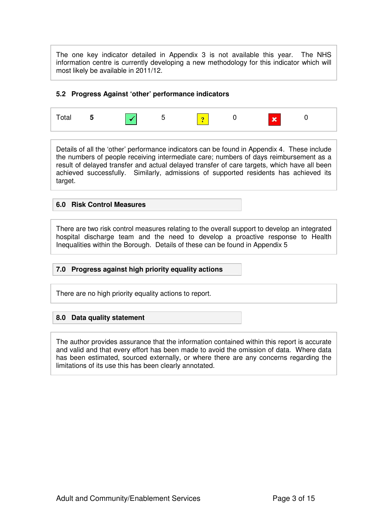The one key indicator detailed in Appendix 3 is not available this year. The NHS information centre is currently developing a new methodology for this indicator which will most likely be available in 2011/12.

#### **5.2 Progress Against 'other' performance indicators**



Details of all the 'other' performance indicators can be found in Appendix 4. These include the numbers of people receiving intermediate care; numbers of days reimbursement as a result of delayed transfer and actual delayed transfer of care targets, which have all been achieved successfully. Similarly, admissions of supported residents has achieved its target.

#### **6.0 Risk Control Measures**

There are two risk control measures relating to the overall support to develop an integrated hospital discharge team and the need to develop a proactive response to Health Inequalities within the Borough. Details of these can be found in Appendix 5

## **7.0 Progress against high priority equality actions**

There are no high priority equality actions to report.

## **8.0 Data quality statement**

The author provides assurance that the information contained within this report is accurate and valid and that every effort has been made to avoid the omission of data. Where data has been estimated, sourced externally, or where there are any concerns regarding the limitations of its use this has been clearly annotated.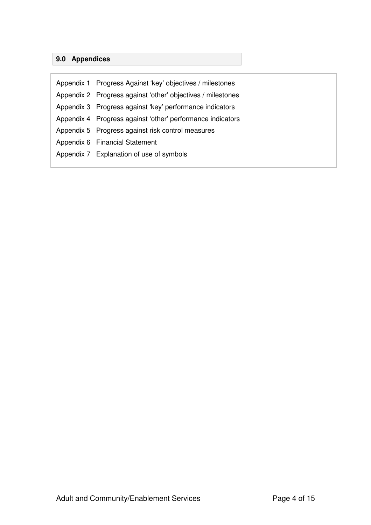# **9.0 Appendices**

| Appendix 1 Progress Against 'key' objectives / milestones   |
|-------------------------------------------------------------|
| Appendix 2 Progress against 'other' objectives / milestones |
| Appendix 3 Progress against 'key' performance indicators    |
| Appendix 4 Progress against 'other' performance indicators  |
| Appendix 5 Progress against risk control measures           |
| Appendix 6 Financial Statement                              |
| Appendix 7 Explanation of use of symbols                    |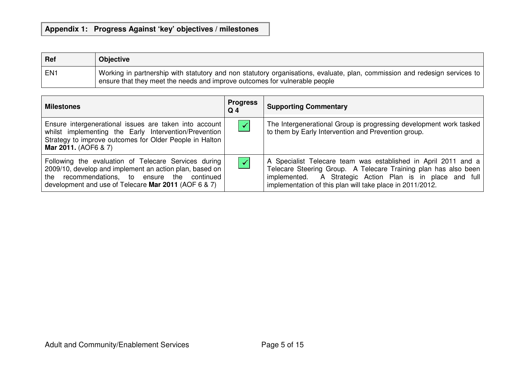# **Appendix 1: Progress Against 'key' objectives / milestones**

| Ref             | <b>Objective</b>                                                                                                                                                                                         |
|-----------------|----------------------------------------------------------------------------------------------------------------------------------------------------------------------------------------------------------|
| EN <sub>1</sub> | Working in partnership with statutory and non statutory organisations, evaluate, plan, commission and redesign services to<br>ensure that they meet the needs and improve outcomes for vulnerable people |

| <b>Milestones</b>                                                                                                                                                                                                       | <b>Progress</b><br>$Q_4$ | <b>Supporting Commentary</b>                                                                                                                                                                                                                                |
|-------------------------------------------------------------------------------------------------------------------------------------------------------------------------------------------------------------------------|--------------------------|-------------------------------------------------------------------------------------------------------------------------------------------------------------------------------------------------------------------------------------------------------------|
| Ensure intergenerational issues are taken into account<br>whilst implementing the Early Intervention/Prevention<br>Strategy to improve outcomes for Older People in Halton<br>Mar 2011. (AOF6 & 7)                      | $\blacktriangledown$     | The Intergenerational Group is progressing development work tasked<br>to them by Early Intervention and Prevention group.                                                                                                                                   |
| Following the evaluation of Telecare Services during<br>2009/10, develop and implement an action plan, based on<br>the recommendations, to ensure the continued<br>development and use of Telecare Mar 2011 (AOF 6 & 7) | $\blacktriangledown$     | A Specialist Telecare team was established in April 2011 and a<br>Telecare Steering Group. A Telecare Training plan has also been<br>implemented. A Strategic Action Plan is in place and full<br>implementation of this plan will take place in 2011/2012. |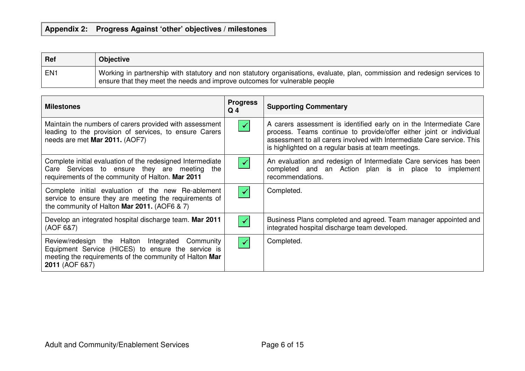# **Appendix 2: Progress Against 'other' objectives / milestones**

| Ref | <b>Objective</b>                                                                                                                                                                                         |
|-----|----------------------------------------------------------------------------------------------------------------------------------------------------------------------------------------------------------|
| EN1 | Working in partnership with statutory and non statutory organisations, evaluate, plan, commission and redesign services to<br>ensure that they meet the needs and improve outcomes for vulnerable people |

| <b>Milestones</b>                                                                                                                                                                  | <b>Progress</b><br>Q <sub>4</sub> | <b>Supporting Commentary</b>                                                                                                                                                                                                                                                |
|------------------------------------------------------------------------------------------------------------------------------------------------------------------------------------|-----------------------------------|-----------------------------------------------------------------------------------------------------------------------------------------------------------------------------------------------------------------------------------------------------------------------------|
| Maintain the numbers of carers provided with assessment<br>leading to the provision of services, to ensure Carers<br>needs are met Mar 2011. (AOF7)                                | $\blacktriangledown$              | A carers assessment is identified early on in the Intermediate Care<br>process. Teams continue to provide/offer either joint or individual<br>assessment to all carers involved with Intermediate Care service. This<br>is highlighted on a regular basis at team meetings. |
| Complete initial evaluation of the redesigned Intermediate<br>Care Services to ensure they are meeting the<br>requirements of the community of Halton. Mar 2011                    | $\prec$                           | An evaluation and redesign of Intermediate Care services has been<br>completed and an Action plan is in place to implement<br>recommendations.                                                                                                                              |
| Complete initial evaluation of the new Re-ablement<br>service to ensure they are meeting the requirements of<br>the community of Halton Mar 2011. (AOF6 $\& 7$ )                   | $\checkmark$                      | Completed.                                                                                                                                                                                                                                                                  |
| Develop an integrated hospital discharge team. Mar 2011<br>(AOF 6&7)                                                                                                               | $\checkmark$                      | Business Plans completed and agreed. Team manager appointed and<br>integrated hospital discharge team developed.                                                                                                                                                            |
| Review/redesign the Halton Integrated Community<br>Equipment Service (HICES) to ensure the service is<br>meeting the requirements of the community of Halton Mar<br>2011 (AOF 6&7) | $\checkmark$                      | Completed.                                                                                                                                                                                                                                                                  |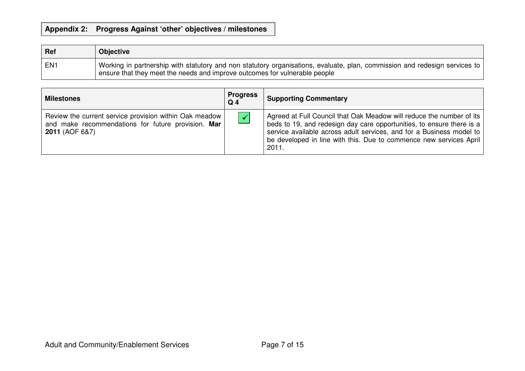# **Appendix 2: Progress Against 'other' objectives / milestones**

| <b>Ref</b> | <b>Objective</b>                                                                                                                                                                                               |
|------------|----------------------------------------------------------------------------------------------------------------------------------------------------------------------------------------------------------------|
| EN1        | Working in partnership with statutory and non statutory organisations, evaluate, plan, commission and redesign services to<br>$\pm$ ensure that they meet the needs and improve outcomes for vulnerable people |

| <b>Milestones</b>                                                                                                                           | <b>Progress</b><br>$Q_4$ | <b>Supporting Commentary</b>                                                                                                                                                                                                                                                                         |
|---------------------------------------------------------------------------------------------------------------------------------------------|--------------------------|------------------------------------------------------------------------------------------------------------------------------------------------------------------------------------------------------------------------------------------------------------------------------------------------------|
| Review the current service provision within Oak meadow  <br>and make recommendations for future provision. Mar<br><b>2011 (AOF 6&amp;7)</b> | $\blacktriangledown$     | Agreed at Full Council that Oak Meadow will reduce the number of its<br>beds to 19, and redesign day care opportunities, to ensure there is a<br>service available across adult services, and for a Business model to<br>be developed in line with this. Due to commence new services April<br>2011. |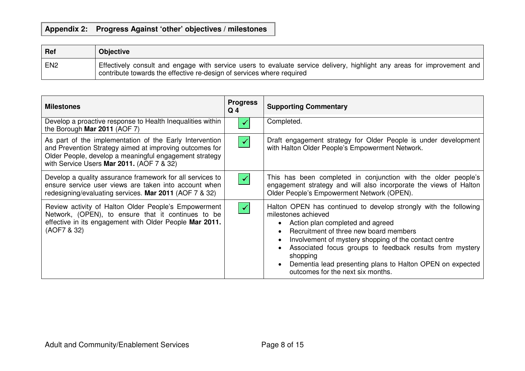# **Appendix 2: Progress Against 'other' objectives / milestones**

| Ref             | <b>Objective</b>                                                                                                                                                                                 |
|-----------------|--------------------------------------------------------------------------------------------------------------------------------------------------------------------------------------------------|
| EN <sub>2</sub> | Effectively consult and engage with service users to evaluate service delivery, highlight any areas for improvement and<br>contribute towards the effective re-design of services where required |

| <b>Milestones</b>                                                                                                                                                                                                         | <b>Progress</b><br>Q <sub>4</sub> | <b>Supporting Commentary</b>                                                                                                                                                                                                                                                                                                                                                                             |
|---------------------------------------------------------------------------------------------------------------------------------------------------------------------------------------------------------------------------|-----------------------------------|----------------------------------------------------------------------------------------------------------------------------------------------------------------------------------------------------------------------------------------------------------------------------------------------------------------------------------------------------------------------------------------------------------|
| Develop a proactive response to Health Inequalities within<br>the Borough Mar 2011 (AOF 7)                                                                                                                                |                                   | Completed.                                                                                                                                                                                                                                                                                                                                                                                               |
| As part of the implementation of the Early Intervention<br>and Prevention Strategy aimed at improving outcomes for<br>Older People, develop a meaningful engagement strategy<br>with Service Users Mar 2011. (AOF 7 & 32) | $\blacktriangledown$              | Draft engagement strategy for Older People is under development<br>with Halton Older People's Empowerment Network.                                                                                                                                                                                                                                                                                       |
| Develop a quality assurance framework for all services to<br>ensure service user views are taken into account when<br>redesigning/evaluating services. Mar 2011 (AOF 7 & 32)                                              | $\blacktriangledown$              | This has been completed in conjunction with the older people's<br>engagement strategy and will also incorporate the views of Halton<br>Older People's Empowerment Network (OPEN).                                                                                                                                                                                                                        |
| Review activity of Halton Older People's Empowerment<br>Network, (OPEN), to ensure that it continues to be<br>effective in its engagement with Older People Mar 2011.<br>(AOF7 & 32)                                      | $\blacktriangledown$              | Halton OPEN has continued to develop strongly with the following<br>milestones achieved<br>Action plan completed and agreed<br>Recruitment of three new board members<br>Involvement of mystery shopping of the contact centre<br>Associated focus groups to feedback results from mystery<br>shopping<br>Dementia lead presenting plans to Halton OPEN on expected<br>outcomes for the next six months. |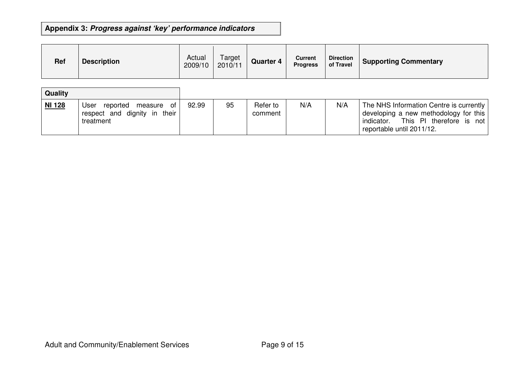# **Appendix 3: Progress against 'key' performance indicators**

| <b>Ref</b> | <b>Description</b> | Actual<br>2009/10 | Target<br>2010/11 | <b>Quarter 4</b> | <b>Current</b><br><b>Progress</b> | <b>Direction</b><br>of Travel | <b>Supporting Commentary</b> |
|------------|--------------------|-------------------|-------------------|------------------|-----------------------------------|-------------------------------|------------------------------|
|------------|--------------------|-------------------|-------------------|------------------|-----------------------------------|-------------------------------|------------------------------|

| Quality       |                                                                                 |       |    |                     |     |     |                                                                                                                                                           |
|---------------|---------------------------------------------------------------------------------|-------|----|---------------------|-----|-----|-----------------------------------------------------------------------------------------------------------------------------------------------------------|
| <b>NI 128</b> | User<br>_of<br>reported<br>measure<br>respect and dignity in their<br>treatment | 92.99 | 95 | Refer to<br>comment | N/A | N/A | The NHS Information Centre is currently  <br>developing a new methodology for this<br>This PI therefore is not<br>indicator.<br>reportable until 2011/12. |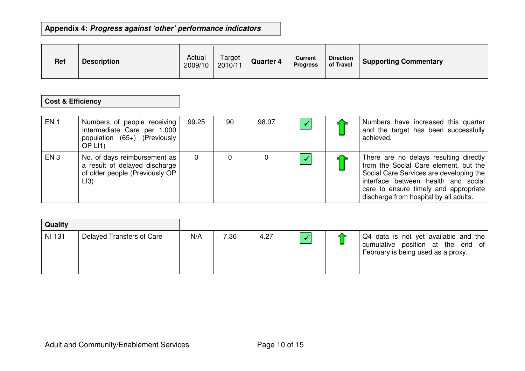# **Appendix 4: Progress against 'other' performance indicators**

| <b>Ref</b> | <b>Description</b> | Actual<br>2009/10 | Target<br>2010/11 | <b>Quarter 4</b> | <b>Current</b><br><b>Progress</b> | <b>Direction</b><br>of Travel | <b>Supporting Commentary</b> |
|------------|--------------------|-------------------|-------------------|------------------|-----------------------------------|-------------------------------|------------------------------|
|------------|--------------------|-------------------|-------------------|------------------|-----------------------------------|-------------------------------|------------------------------|

## **Cost & Efficiency**

| EN <sub>1</sub> | Numbers of people receiving<br>Intermediate Care per 1,000<br>population (65+) (Previously<br>OP LI <sub>1</sub> | 99.25 | 90 | 98.07 |  | Numbers have increased this quarter<br>and the target has been successfully<br>achieved.                                                                                                                                                             |
|-----------------|------------------------------------------------------------------------------------------------------------------|-------|----|-------|--|------------------------------------------------------------------------------------------------------------------------------------------------------------------------------------------------------------------------------------------------------|
| EN <sub>3</sub> | No. of days reimbursement as<br>a result of delayed discharge<br>of older people (Previously OP<br>LI3)          | 0     |    |       |  | There are no delays resulting directly<br>from the Social Care element, but the<br>Social Care Services are developing the<br>interface between health and social<br>care to ensure timely and appropriate<br>discharge from hospital by all adults. |

| Quality |                           |     |      |      |  |                                                                                                                 |
|---------|---------------------------|-----|------|------|--|-----------------------------------------------------------------------------------------------------------------|
| NI 131  | Delayed Transfers of Care | N/A | 7.36 | 4.27 |  | Q4 data is not yet available and the<br>cumulative position at the end of<br>February is being used as a proxy. |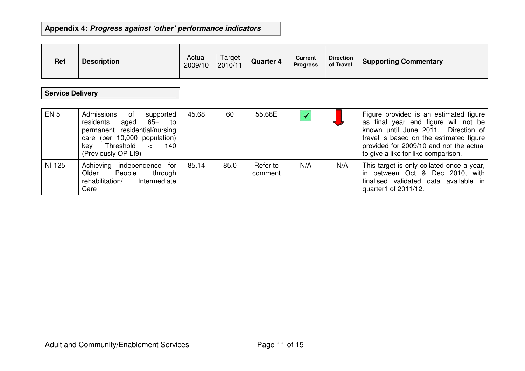# **Appendix 4: Progress against 'other' performance indicators**

| <b>Ref</b> | <b>Description</b> | Actual<br>2009/10 | Target<br>2010/11 | <b>Quarter 4</b> | Current<br><b>Progress</b> | <b>Direction</b><br>of Travel | <b>Supporting Commentary</b> |
|------------|--------------------|-------------------|-------------------|------------------|----------------------------|-------------------------------|------------------------------|
|------------|--------------------|-------------------|-------------------|------------------|----------------------------|-------------------------------|------------------------------|

# **Service Delivery**

| EN <sub>5</sub> | Admissions<br>$\circ$ of<br>supported<br>residents<br>65+ to<br>aged<br>permanent residential/nursing<br>care (per 10,000 population)<br>Threshold <<br>140<br>kev<br>(Previously OP LI9) | 45.68 | 60   | 55.68E              | $\blacktriangledown$ |     | Figure provided is an estimated figure<br>as final year end figure will not be<br>known until June 2011. Direction of<br>travel is based on the estimated figure<br>provided for 2009/10 and not the actual<br>to give a like for like comparison. |
|-----------------|-------------------------------------------------------------------------------------------------------------------------------------------------------------------------------------------|-------|------|---------------------|----------------------|-----|----------------------------------------------------------------------------------------------------------------------------------------------------------------------------------------------------------------------------------------------------|
| NI 125          | Achieving independence for<br>through<br>Older<br>People<br>Intermediate<br>rehabilitation/<br>Care                                                                                       | 85.14 | 85.0 | Refer to<br>comment | N/A                  | N/A | This target is only collated once a year,  <br>in between Oct & Dec 2010, with<br>finalised validated data available in<br>quarter1 of 2011/12.                                                                                                    |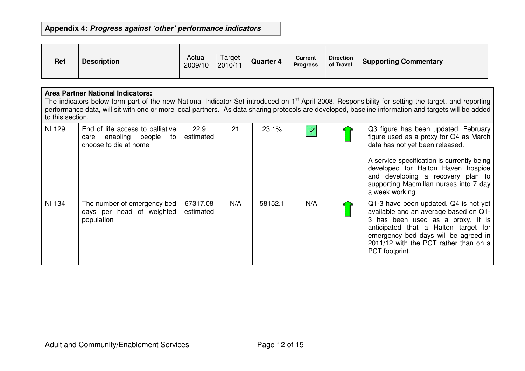# **Appendix 4: Progress against 'other' performance indicators**

| <b>Ref</b> | <b>Description</b> | Actual<br>2009/10 | Target<br>2010/11 | <b>Quarter 4</b> | <b>Current</b><br><b>Progress</b> | <b>Direction</b><br>of Travel | <b>Supporting Commentary</b> |
|------------|--------------------|-------------------|-------------------|------------------|-----------------------------------|-------------------------------|------------------------------|
|------------|--------------------|-------------------|-------------------|------------------|-----------------------------------|-------------------------------|------------------------------|

#### **Area Partner National Indicators:**

The indicators below form part of the new National Indicator Set introduced on 1<sup>st</sup> April 2008. Responsibility for setting the target, and reporting performance data, will sit with one or more local partners. As data sharing protocols are developed, baseline information and targets will be added to this section.

| <b>NI 129</b> | End of life access to palliative<br>care enabling people<br>to<br>choose to die at home | 22.9<br>estimated     | 21  | 23.1%   |     | Q3 figure has been updated. February<br>figure used as a proxy for Q4 as March<br>data has not yet been released.<br>A service specification is currently being<br>developed for Halton Haven hospice<br>and developing a recovery plan to<br>supporting Macmillan nurses into 7 day<br>a week working. |
|---------------|-----------------------------------------------------------------------------------------|-----------------------|-----|---------|-----|---------------------------------------------------------------------------------------------------------------------------------------------------------------------------------------------------------------------------------------------------------------------------------------------------------|
| NI 134        | The number of emergency bed<br>days per head of weighted<br>population                  | 67317.08<br>estimated | N/A | 58152.1 | N/A | Q1-3 have been updated. Q4 is not yet<br>available and an average based on Q1-<br>3 has been used as a proxy. It is<br>anticipated that a Halton target for<br>emergency bed days will be agreed in<br>2011/12 with the PCT rather than on a<br>PCT footprint.                                          |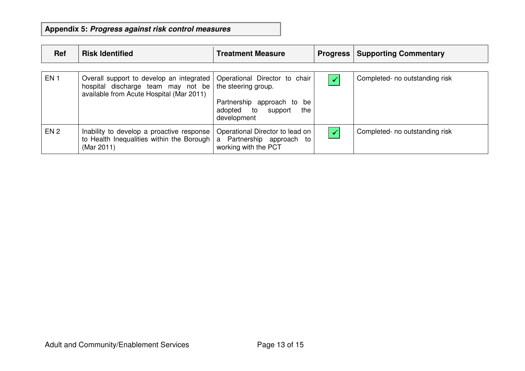**Appendix 5: Progress against risk control measures**

| Ref             | <b>Risk Identified</b>                                                                                                     | <b>Treatment Measure</b>                                                                                                          | <b>Progress</b> | <b>Supporting Commentary</b>   |
|-----------------|----------------------------------------------------------------------------------------------------------------------------|-----------------------------------------------------------------------------------------------------------------------------------|-----------------|--------------------------------|
| EN <sub>1</sub> | Overall support to develop an integrated<br>hospital discharge team may not be<br>available from Acute Hospital (Mar 2011) | Operational Director to chair<br>the steering group.<br>Partnership approach to<br>be<br>adopted to support<br>the<br>development |                 | Completed- no outstanding risk |
| EN <sub>2</sub> | Inability to develop a proactive response<br>to Health Inequalities within the Borough  <br>(Mar 2011)                     | Operational Director to lead on<br>a Partnership approach to<br>working with the PCT                                              |                 | Completed- no outstanding risk |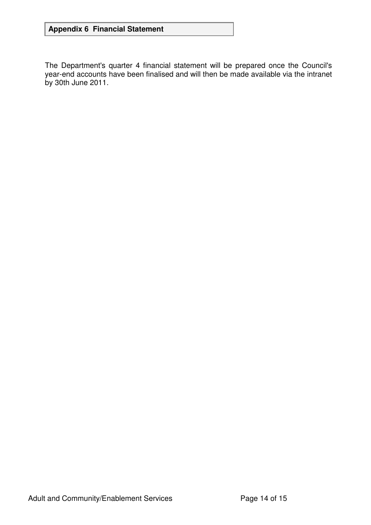# **Appendix 6 Financial Statement**

The Department's quarter 4 financial statement will be prepared once the Council's year-end accounts have been finalised and will then be made available via the intranet by 30th June 2011.